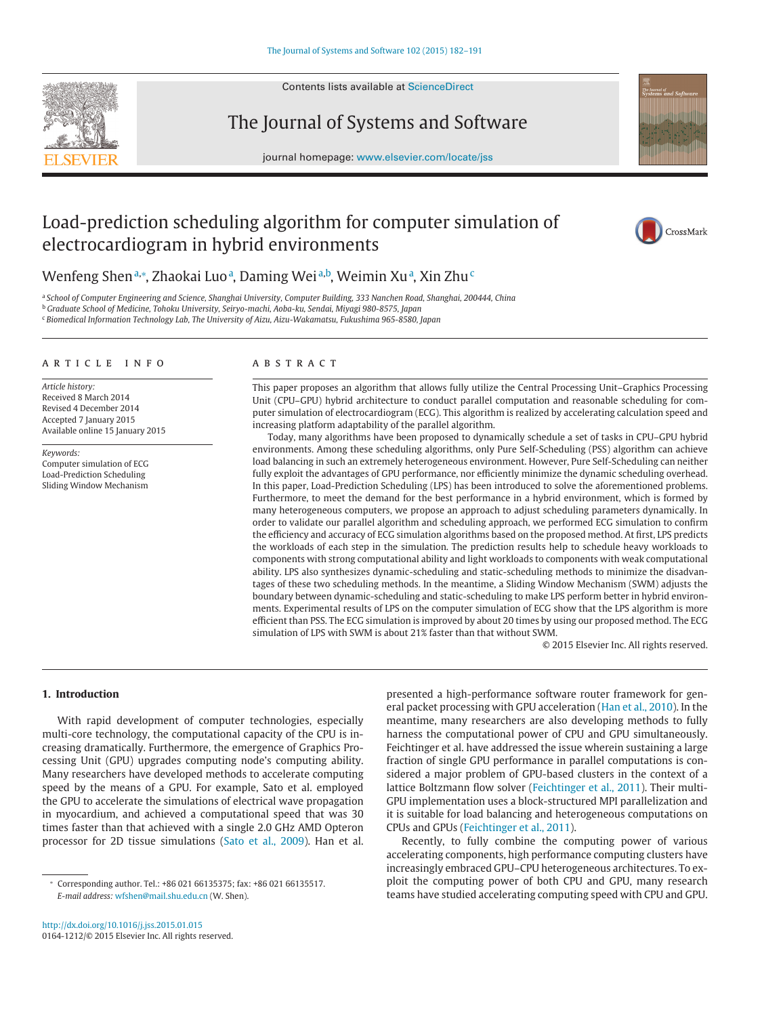Contents lists available at [ScienceDirect](http://www.ScienceDirect.com)

# The Journal of Systems and Software

journal homepage: [www.elsevier.com/locate/jss](http://www.elsevier.com/locate/jss)



# Load-prediction scheduling algorithm for computer simulation of electrocardiogram in hybrid environments



Wenfeng Shen<u>a,\*, Zhaokai Luoa, Daming</u> Weia,b, Weimin Xua, Xin Zhu<sup>c</sup>

<sup>a</sup> *School of Computer Engineering and Science, Shanghai University, Computer Building, 333 Nanchen Road, Shanghai, 200444, China* <sup>b</sup> *Graduate School of Medicine, Tohoku University, Seiryo-machi, Aoba-ku, Sendai, Miyagi 980-8575, Japan* <sup>c</sup> *Biomedical Information Technology Lab, The University of Aizu, Aizu-Wakamatsu, Fukushima 965-8580, Japan*

#### article info

*Article history:* Received 8 March 2014 Revised 4 December 2014 Accepted 7 January 2015 Available online 15 January 2015

*Keywords:* Computer simulation of ECG Load-Prediction Scheduling Sliding Window Mechanism

#### A B S T R A C T

This paper proposes an algorithm that allows fully utilize the Central Processing Unit–Graphics Processing Unit (CPU–GPU) hybrid architecture to conduct parallel computation and reasonable scheduling for computer simulation of electrocardiogram (ECG). This algorithm is realized by accelerating calculation speed and increasing platform adaptability of the parallel algorithm.

Today, many algorithms have been proposed to dynamically schedule a set of tasks in CPU–GPU hybrid environments. Among these scheduling algorithms, only Pure Self-Scheduling (PSS) algorithm can achieve load balancing in such an extremely heterogeneous environment. However, Pure Self-Scheduling can neither fully exploit the advantages of GPU performance, nor efficiently minimize the dynamic scheduling overhead. In this paper, Load-Prediction Scheduling (LPS) has been introduced to solve the aforementioned problems. Furthermore, to meet the demand for the best performance in a hybrid environment, which is formed by many heterogeneous computers, we propose an approach to adjust scheduling parameters dynamically. In order to validate our parallel algorithm and scheduling approach, we performed ECG simulation to confirm the efficiency and accuracy of ECG simulation algorithms based on the proposed method. At first, LPS predicts the workloads of each step in the simulation. The prediction results help to schedule heavy workloads to components with strong computational ability and light workloads to components with weak computational ability. LPS also synthesizes dynamic-scheduling and static-scheduling methods to minimize the disadvantages of these two scheduling methods. In the meantime, a Sliding Window Mechanism (SWM) adjusts the boundary between dynamic-scheduling and static-scheduling to make LPS perform better in hybrid environments. Experimental results of LPS on the computer simulation of ECG show that the LPS algorithm is more efficient than PSS. The ECG simulation is improved by about 20 times by using our proposed method. The ECG simulation of LPS with SWM is about 21% faster than that without SWM.

© 2015 Elsevier Inc. All rights reserved.

### **1. Introduction**

With rapid development of computer technologies, especially multi-core technology, the computational capacity of the CPU is increasing dramatically. Furthermore, the emergence of Graphics Processing Unit (GPU) upgrades computing node's computing ability. Many researchers have developed methods to accelerate computing speed by the means of a GPU. For example, Sato et al. employed the GPU to accelerate the simulations of electrical wave propagation in myocardium, and achieved a computational speed that was 30 times faster than that achieved with a single 2.0 GHz AMD Opteron processor for 2D tissue simulations [\(Sato et al., 2009\)](#page--1-0). Han et al. presented a high-performance software router framework for general packet processing with GPU acceleration [\(Han et al., 2010\)](#page--1-0). In the meantime, many researchers are also developing methods to fully harness the computational power of CPU and GPU simultaneously. Feichtinger et al. have addressed the issue wherein sustaining a large fraction of single GPU performance in parallel computations is considered a major problem of GPU-based clusters in the context of a lattice Boltzmann flow solver [\(Feichtinger et al., 2011\)](#page--1-0). Their multi-GPU implementation uses a block-structured MPI parallelization and it is suitable for load balancing and heterogeneous computations on CPUs and GPUs [\(Feichtinger et al., 2011\)](#page--1-0).

Recently, to fully combine the computing power of various accelerating components, high performance computing clusters have increasingly embraced GPU–CPU heterogeneous architectures. To exploit the computing power of both CPU and GPU, many research teams have studied accelerating computing speed with CPU and GPU.

<sup>∗</sup> Corresponding author. Tel.: +86 021 66135375; fax: +86 021 66135517. *E-mail address:* [wfshen@mail.shu.edu.cn](mailto:wfshen@mail.shu.edu.cn) (W. Shen).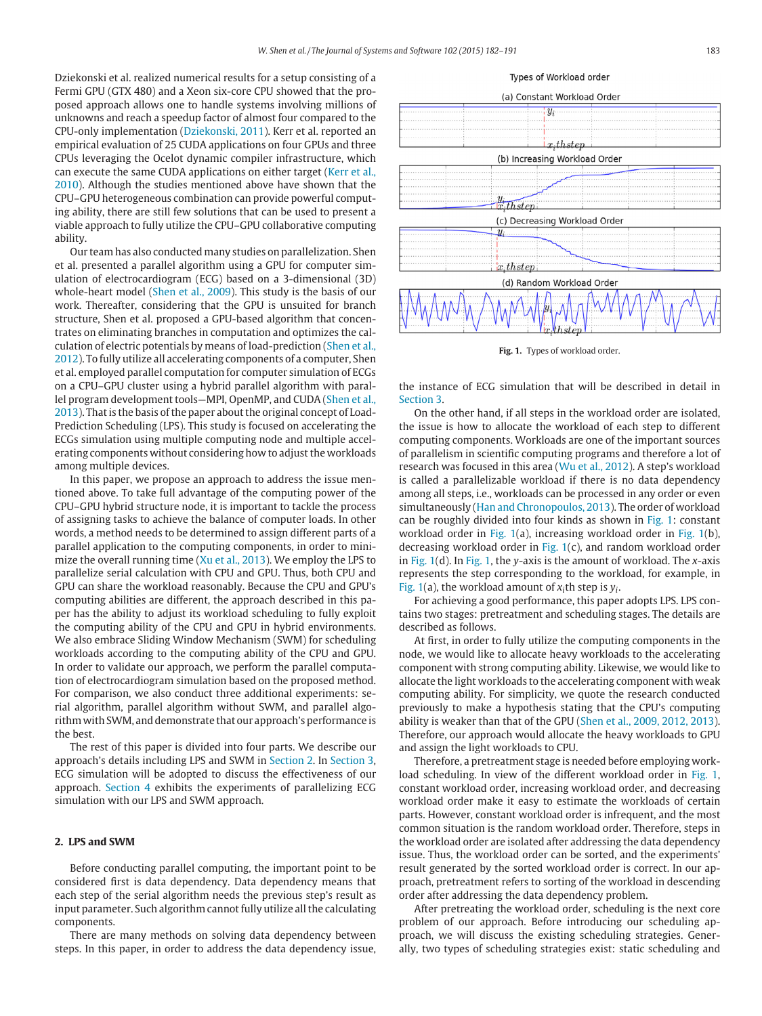Dziekonski et al. realized numerical results for a setup consisting of a Fermi GPU (GTX 480) and a Xeon six-core CPU showed that the proposed approach allows one to handle systems involving millions of unknowns and reach a speedup factor of almost four compared to the CPU-only implementation [\(Dziekonski, 2011\)](#page--1-0). Kerr et al. reported an empirical evaluation of 25 CUDA applications on four GPUs and three CPUs leveraging the Ocelot dynamic compiler infrastructure, which [can execute the same CUDA applications on either target \(Kerr et al.,](#page--1-0) 2010). Although the studies mentioned above have shown that the CPU–GPU heterogeneous combination can provide powerful computing ability, there are still few solutions that can be used to present a viable approach to fully utilize the CPU–GPU collaborative computing ability.

Our team has also conducted many studies on parallelization. Shen et al. presented a parallel algorithm using a GPU for computer simulation of electrocardiogram (ECG) based on a 3-dimensional (3D) whole-heart model [\(Shen et al., 2009\)](#page--1-0). This study is the basis of our work. Thereafter, considering that the GPU is unsuited for branch structure, Shen et al. proposed a GPU-based algorithm that concentrates on eliminating branches in computation and optimizes the calculation of electric potentials by means of load-prediction (Shen et al., [2012\). To fully utilize all accelerating components of a computer, Shen](#page--1-0) et al. employed parallel computation for computer simulation of ECGs on a CPU–GPU cluster using a hybrid parallel algorithm with parallel program development tools—MPI, OpenMP, and CUDA (Shen et al., [2013\). That is the basis of the paper about the original concept of Load-](#page--1-0)Prediction Scheduling (LPS). This study is focused on accelerating the ECGs simulation using multiple computing node and multiple accelerating components without considering how to adjust the workloads among multiple devices.

In this paper, we propose an approach to address the issue mentioned above. To take full advantage of the computing power of the CPU–GPU hybrid structure node, it is important to tackle the process of assigning tasks to achieve the balance of computer loads. In other words, a method needs to be determined to assign different parts of a parallel application to the computing components, in order to minimize the overall running time [\(Xu et al., 2013\)](#page--1-0). We employ the LPS to parallelize serial calculation with CPU and GPU. Thus, both CPU and GPU can share the workload reasonably. Because the CPU and GPU's computing abilities are different, the approach described in this paper has the ability to adjust its workload scheduling to fully exploit the computing ability of the CPU and GPU in hybrid environments. We also embrace Sliding Window Mechanism (SWM) for scheduling workloads according to the computing ability of the CPU and GPU. In order to validate our approach, we perform the parallel computation of electrocardiogram simulation based on the proposed method. For comparison, we also conduct three additional experiments: serial algorithm, parallel algorithm without SWM, and parallel algorithm with SWM, and demonstrate that our approach's performance is the best.

The rest of this paper is divided into four parts. We describe our approach's details including LPS and SWM in Section 2. In [Section 3,](#page--1-0) ECG simulation will be adopted to discuss the effectiveness of our approach. [Section 4](#page--1-0) exhibits the experiments of parallelizing ECG simulation with our LPS and SWM approach.

## **2. LPS and SWM**

Before conducting parallel computing, the important point to be considered first is data dependency. Data dependency means that each step of the serial algorithm needs the previous step's result as input parameter. Such algorithm cannot fully utilize all the calculating components.

There are many methods on solving data dependency between steps. In this paper, in order to address the data dependency issue,

### Types of Workload order



**Fig. 1.** Types of workload order.

the instance of ECG simulation that will be described in detail in [Section 3.](#page--1-0)

On the other hand, if all steps in the workload order are isolated, the issue is how to allocate the workload of each step to different computing components. Workloads are one of the important sources of parallelism in scientific computing programs and therefore a lot of research was focused in this area [\(Wu et al., 2012\)](#page--1-0). A step's workload is called a parallelizable workload if there is no data dependency among all steps, i.e., workloads can be processed in any order or even simultaneously [\(Han and Chronopoulos, 2013\)](#page--1-0). The order of workload can be roughly divided into four kinds as shown in Fig. 1: constant workload order in Fig. 1(a), increasing workload order in Fig. 1(b), decreasing workload order in Fig. 1(c), and random workload order in Fig. 1(d). In Fig. 1, the *y*-axis is the amount of workload. The *x*-axis represents the step corresponding to the workload, for example, in Fig. 1(a), the workload amount of  $x_i$ th step is  $y_i$ .

For achieving a good performance, this paper adopts LPS. LPS contains two stages: pretreatment and scheduling stages. The details are described as follows.

At first, in order to fully utilize the computing components in the node, we would like to allocate heavy workloads to the accelerating component with strong computing ability. Likewise, we would like to allocate the light workloads to the accelerating component with weak computing ability. For simplicity, we quote the research conducted previously to make a hypothesis stating that the CPU's computing ability is weaker than that of the GPU [\(Shen et al., 2009, 2012, 2013\)](#page--1-0). Therefore, our approach would allocate the heavy workloads to GPU and assign the light workloads to CPU.

Therefore, a pretreatment stage is needed before employing workload scheduling. In view of the different workload order in Fig. 1, constant workload order, increasing workload order, and decreasing workload order make it easy to estimate the workloads of certain parts. However, constant workload order is infrequent, and the most common situation is the random workload order. Therefore, steps in the workload order are isolated after addressing the data dependency issue. Thus, the workload order can be sorted, and the experiments' result generated by the sorted workload order is correct. In our approach, pretreatment refers to sorting of the workload in descending order after addressing the data dependency problem.

After pretreating the workload order, scheduling is the next core problem of our approach. Before introducing our scheduling approach, we will discuss the existing scheduling strategies. Generally, two types of scheduling strategies exist: static scheduling and